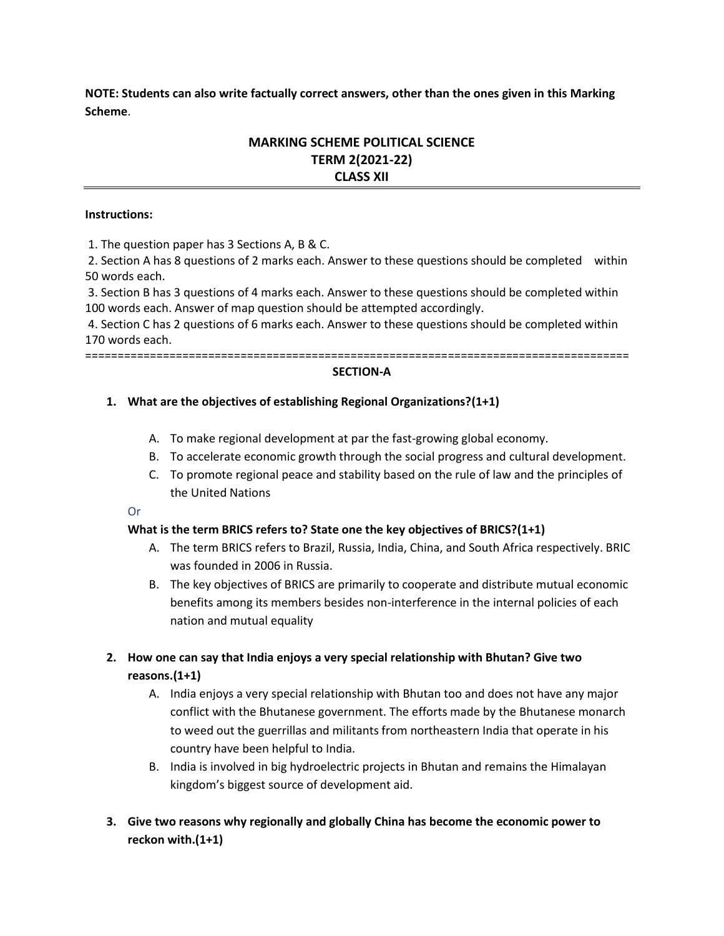**NOTE: Students can also write factually correct answers, other than the ones given in this Marking Scheme**.

# **MARKING SCHEME POLITICAL SCIENCE TERM 2(2021-22) CLASS XII**

#### **Instructions:**

1. The question paper has 3 Sections A, B & C.

2. Section A has 8 questions of 2 marks each. Answer to these questions should be completed within 50 words each.

3. Section B has 3 questions of 4 marks each. Answer to these questions should be completed within 100 words each. Answer of map question should be attempted accordingly.

4. Section C has 2 questions of 6 marks each. Answer to these questions should be completed within 170 words each.

====================================================================================

#### **SECTION-A**

### **1. What are the objectives of establishing Regional Organizations?(1+1)**

- A. To make regional development at par the fast-growing global economy.
- B. To accelerate economic growth through the social progress and cultural development.
- C. To promote regional peace and stability based on the rule of law and the principles of the United Nations

Or

### **What is the term BRICS refers to? State one the key objectives of BRICS?(1+1)**

- A. The term BRICS refers to Brazil, Russia, India, China, and South Africa respectively. BRIC was founded in 2006 in Russia.
- B. The key objectives of BRICS are primarily to cooperate and distribute mutual economic benefits among its members besides non-interference in the internal policies of each nation and mutual equality
- **2. How one can say that India enjoys a very special relationship with Bhutan? Give two reasons.(1+1)**
	- A. India enjoys a very special relationship with Bhutan too and does not have any major conflict with the Bhutanese government. The efforts made by the Bhutanese monarch to weed out the guerrillas and militants from northeastern India that operate in his country have been helpful to India.
	- B. India is involved in big hydroelectric projects in Bhutan and remains the Himalayan kingdom's biggest source of development aid.
- **3. Give two reasons why regionally and globally China has become the economic power to reckon with.(1+1)**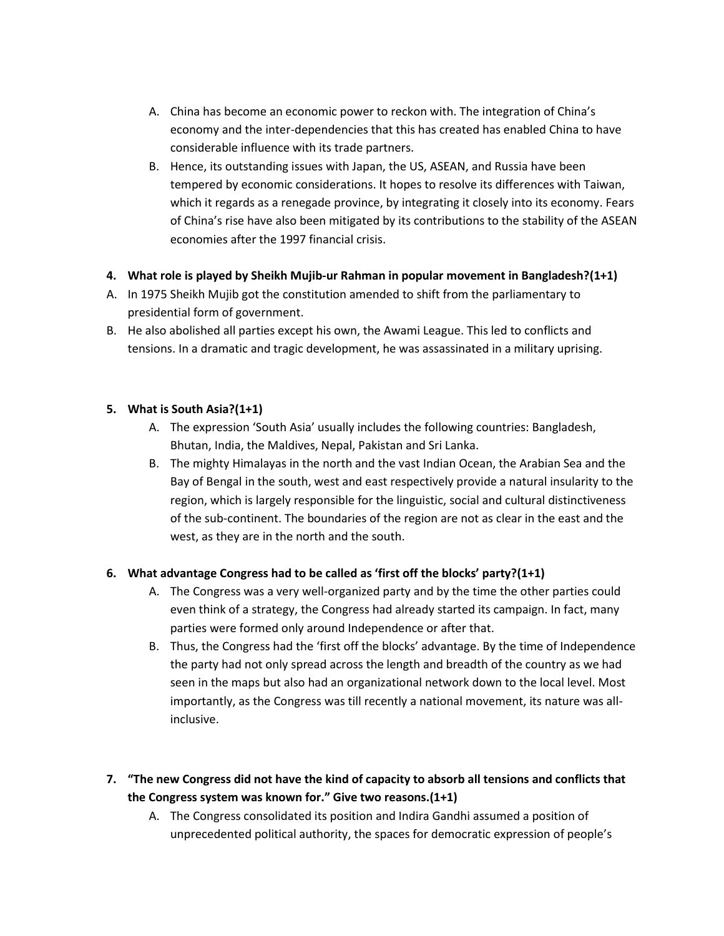- A. China has become an economic power to reckon with. The integration of China's economy and the inter-dependencies that this has created has enabled China to have considerable influence with its trade partners.
- B. Hence, its outstanding issues with Japan, the US, ASEAN, and Russia have been tempered by economic considerations. It hopes to resolve its differences with Taiwan, which it regards as a renegade province, by integrating it closely into its economy. Fears of China's rise have also been mitigated by its contributions to the stability of the ASEAN economies after the 1997 financial crisis.

## **4. What role is played by Sheikh Mujib-ur Rahman in popular movement in Bangladesh?(1+1)**

- A. In 1975 Sheikh Mujib got the constitution amended to shift from the parliamentary to presidential form of government.
- B. He also abolished all parties except his own, the Awami League. This led to conflicts and tensions. In a dramatic and tragic development, he was assassinated in a military uprising.

## **5. What is South Asia?(1+1)**

- A. The expression 'South Asia' usually includes the following countries: Bangladesh, Bhutan, India, the Maldives, Nepal, Pakistan and Sri Lanka.
- B. The mighty Himalayas in the north and the vast Indian Ocean, the Arabian Sea and the Bay of Bengal in the south, west and east respectively provide a natural insularity to the region, which is largely responsible for the linguistic, social and cultural distinctiveness of the sub-continent. The boundaries of the region are not as clear in the east and the west, as they are in the north and the south.

## **6. What advantage Congress had to be called as 'first off the blocks' party?(1+1)**

- A. The Congress was a very well-organized party and by the time the other parties could even think of a strategy, the Congress had already started its campaign. In fact, many parties were formed only around Independence or after that.
- B. Thus, the Congress had the 'first off the blocks' advantage. By the time of Independence the party had not only spread across the length and breadth of the country as we had seen in the maps but also had an organizational network down to the local level. Most importantly, as the Congress was till recently a national movement, its nature was allinclusive.
- **7. "The new Congress did not have the kind of capacity to absorb all tensions and conflicts that the Congress system was known for." Give two reasons.(1+1)**
	- A. The Congress consolidated its position and Indira Gandhi assumed a position of unprecedented political authority, the spaces for democratic expression of people's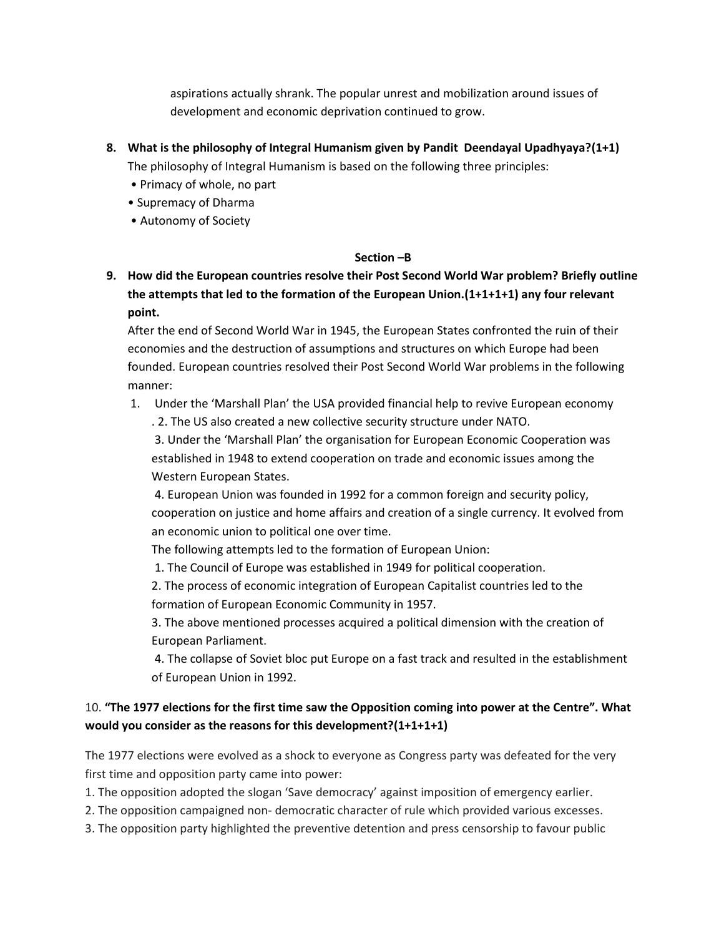aspirations actually shrank. The popular unrest and mobilization around issues of development and economic deprivation continued to grow.

- **8. What is the philosophy of Integral Humanism given by Pandit Deendayal Upadhyaya?(1+1)** The philosophy of Integral Humanism is based on the following three principles:
	- Primacy of whole, no part
	- Supremacy of Dharma
	- Autonomy of Society

### **Section –B**

**9. How did the European countries resolve their Post Second World War problem? Briefly outline the attempts that led to the formation of the European Union.(1+1+1+1) any four relevant point.**

After the end of Second World War in 1945, the European States confronted the ruin of their economies and the destruction of assumptions and structures on which Europe had been founded. European countries resolved their Post Second World War problems in the following manner:

1. Under the 'Marshall Plan' the USA provided financial help to revive European economy

. 2. The US also created a new collective security structure under NATO.

3. Under the 'Marshall Plan' the organisation for European Economic Cooperation was established in 1948 to extend cooperation on trade and economic issues among the Western European States.

4. European Union was founded in 1992 for a common foreign and security policy, cooperation on justice and home affairs and creation of a single currency. It evolved from an economic union to political one over time.

The following attempts led to the formation of European Union:

1. The Council of Europe was established in 1949 for political cooperation.

2. The process of economic integration of European Capitalist countries led to the formation of European Economic Community in 1957.

3. The above mentioned processes acquired a political dimension with the creation of European Parliament.

4. The collapse of Soviet bloc put Europe on a fast track and resulted in the establishment of European Union in 1992.

# 10. **"The 1977 elections for the first time saw the Opposition coming into power at the Centre". What would you consider as the reasons for this development?(1+1+1+1)**

The 1977 elections were evolved as a shock to everyone as Congress party was defeated for the very first time and opposition party came into power:

1. The opposition adopted the slogan 'Save democracy' against imposition of emergency earlier.

2. The opposition campaigned non- democratic character of rule which provided various excesses.

3. The opposition party highlighted the preventive detention and press censorship to favour public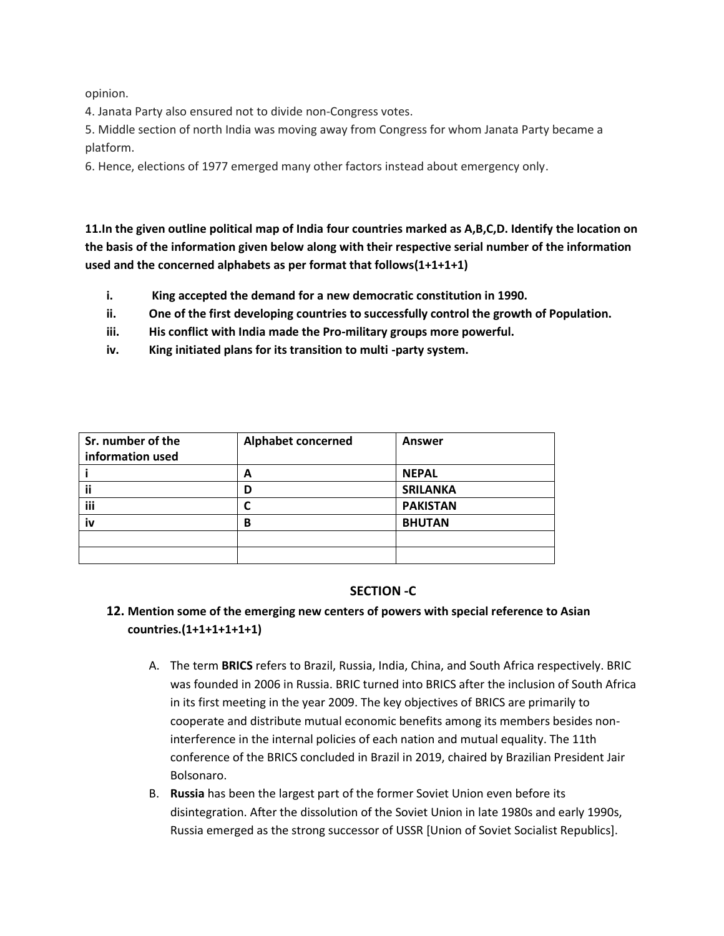opinion.

4. Janata Party also ensured not to divide non-Congress votes.

5. Middle section of north India was moving away from Congress for whom Janata Party became a platform.

6. Hence, elections of 1977 emerged many other factors instead about emergency only.

**11.In the given outline political map of India four countries marked as A,B,C,D. Identify the location on the basis of the information given below along with their respective serial number of the information used and the concerned alphabets as per format that follows(1+1+1+1)**

- **i. King accepted the demand for a new democratic constitution in 1990.**
- **ii. One of the first developing countries to successfully control the growth of Population.**
- **iii. His conflict with India made the Pro-military groups more powerful.**
- **iv. King initiated plans for its transition to multi -party system.**

| Sr. number of the | <b>Alphabet concerned</b> | Answer          |
|-------------------|---------------------------|-----------------|
| information used  |                           |                 |
|                   | А                         | <b>NEPAL</b>    |
|                   | D                         | <b>SRILANKA</b> |
| iii               | C                         | <b>PAKISTAN</b> |
| iv                | B                         | <b>BHUTAN</b>   |
|                   |                           |                 |
|                   |                           |                 |

## **SECTION -C**

# **12. Mention some of the emerging new centers of powers with special reference to Asian countries.(1+1+1+1+1+1)**

- A. The term **BRICS** refers to Brazil, Russia, India, China, and South Africa respectively. BRIC was founded in 2006 in Russia. BRIC turned into BRICS after the inclusion of South Africa in its first meeting in the year 2009. The key objectives of BRICS are primarily to cooperate and distribute mutual economic benefits among its members besides noninterference in the internal policies of each nation and mutual equality. The 11th conference of the BRICS concluded in Brazil in 2019, chaired by Brazilian President Jair Bolsonaro.
- B. **Russia** has been the largest part of the former Soviet Union even before its disintegration. After the dissolution of the Soviet Union in late 1980s and early 1990s, Russia emerged as the strong successor of USSR [Union of Soviet Socialist Republics].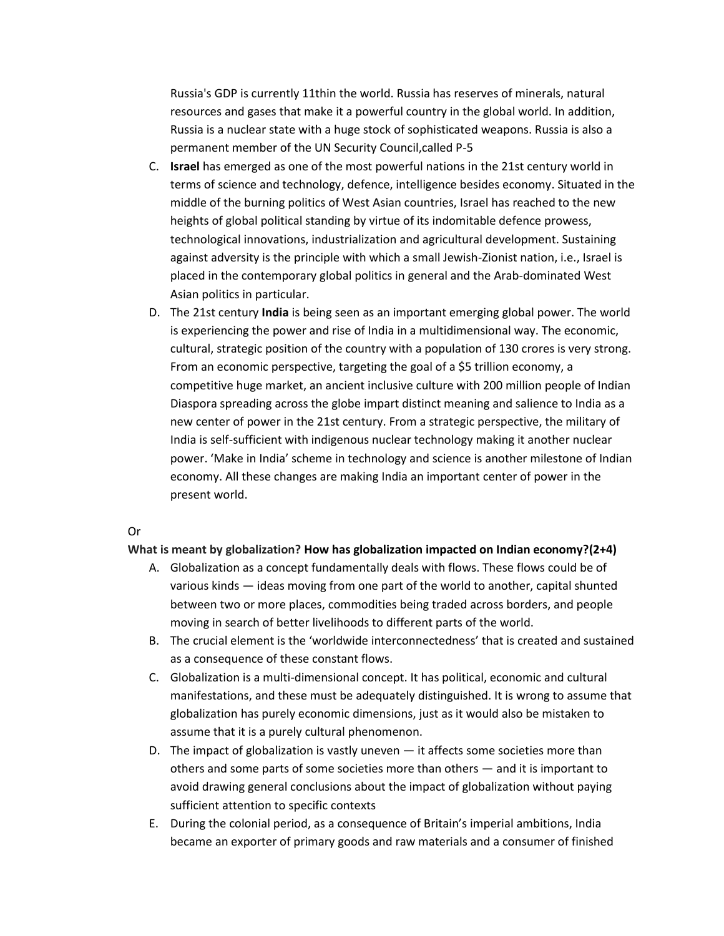Russia's GDP is currently 11thin the world. Russia has reserves of minerals, natural resources and gases that make it a powerful country in the global world. In addition, Russia is a nuclear state with a huge stock of sophisticated weapons. Russia is also a permanent member of the UN Security Council,called P-5

- C. **Israel** has emerged as one of the most powerful nations in the 21st century world in terms of science and technology, defence, intelligence besides economy. Situated in the middle of the burning politics of West Asian countries, Israel has reached to the new heights of global political standing by virtue of its indomitable defence prowess, technological innovations, industrialization and agricultural development. Sustaining against adversity is the principle with which a small Jewish-Zionist nation, i.e., Israel is placed in the contemporary global politics in general and the Arab-dominated West Asian politics in particular.
- D. The 21st century **India** is being seen as an important emerging global power. The world is experiencing the power and rise of India in a multidimensional way. The economic, cultural, strategic position of the country with a population of 130 crores is very strong. From an economic perspective, targeting the goal of a \$5 trillion economy, a competitive huge market, an ancient inclusive culture with 200 million people of Indian Diaspora spreading across the globe impart distinct meaning and salience to India as a new center of power in the 21st century. From a strategic perspective, the military of India is self-sufficient with indigenous nuclear technology making it another nuclear power. 'Make in India' scheme in technology and science is another milestone of Indian economy. All these changes are making India an important center of power in the present world.

#### Or

#### **What is meant by globalization? How has globalization impacted on Indian economy?(2+4)**

- A. Globalization as a concept fundamentally deals with flows. These flows could be of various kinds — ideas moving from one part of the world to another, capital shunted between two or more places, commodities being traded across borders, and people moving in search of better livelihoods to different parts of the world.
- B. The crucial element is the 'worldwide interconnectedness' that is created and sustained as a consequence of these constant flows.
- C. Globalization is a multi-dimensional concept. It has political, economic and cultural manifestations, and these must be adequately distinguished. It is wrong to assume that globalization has purely economic dimensions, just as it would also be mistaken to assume that it is a purely cultural phenomenon.
- D. The impact of globalization is vastly uneven it affects some societies more than others and some parts of some societies more than others — and it is important to avoid drawing general conclusions about the impact of globalization without paying sufficient attention to specific contexts
- E. During the colonial period, as a consequence of Britain's imperial ambitions, India became an exporter of primary goods and raw materials and a consumer of finished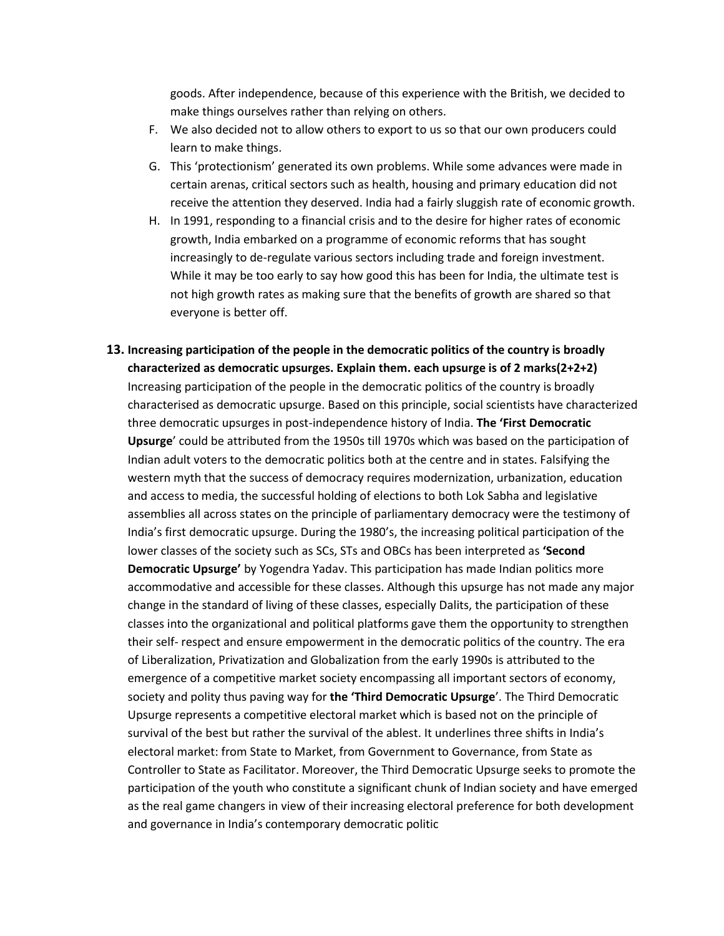goods. After independence, because of this experience with the British, we decided to make things ourselves rather than relying on others.

- F. We also decided not to allow others to export to us so that our own producers could learn to make things.
- G. This 'protectionism' generated its own problems. While some advances were made in certain arenas, critical sectors such as health, housing and primary education did not receive the attention they deserved. India had a fairly sluggish rate of economic growth.
- H. In 1991, responding to a financial crisis and to the desire for higher rates of economic growth, India embarked on a programme of economic reforms that has sought increasingly to de-regulate various sectors including trade and foreign investment. While it may be too early to say how good this has been for India, the ultimate test is not high growth rates as making sure that the benefits of growth are shared so that everyone is better off.
- **13. Increasing participation of the people in the democratic politics of the country is broadly characterized as democratic upsurges. Explain them. each upsurge is of 2 marks(2+2+2)** Increasing participation of the people in the democratic politics of the country is broadly characterised as democratic upsurge. Based on this principle, social scientists have characterized three democratic upsurges in post-independence history of India. **The 'First Democratic Upsurge**' could be attributed from the 1950s till 1970s which was based on the participation of Indian adult voters to the democratic politics both at the centre and in states. Falsifying the western myth that the success of democracy requires modernization, urbanization, education and access to media, the successful holding of elections to both Lok Sabha and legislative assemblies all across states on the principle of parliamentary democracy were the testimony of India's first democratic upsurge. During the 1980's, the increasing political participation of the lower classes of the society such as SCs, STs and OBCs has been interpreted as **'Second Democratic Upsurge'** by Yogendra Yadav. This participation has made Indian politics more accommodative and accessible for these classes. Although this upsurge has not made any major change in the standard of living of these classes, especially Dalits, the participation of these classes into the organizational and political platforms gave them the opportunity to strengthen their self- respect and ensure empowerment in the democratic politics of the country. The era of Liberalization, Privatization and Globalization from the early 1990s is attributed to the emergence of a competitive market society encompassing all important sectors of economy, society and polity thus paving way for **the 'Third Democratic Upsurge**'. The Third Democratic Upsurge represents a competitive electoral market which is based not on the principle of survival of the best but rather the survival of the ablest. It underlines three shifts in India's electoral market: from State to Market, from Government to Governance, from State as Controller to State as Facilitator. Moreover, the Third Democratic Upsurge seeks to promote the participation of the youth who constitute a significant chunk of Indian society and have emerged as the real game changers in view of their increasing electoral preference for both development and governance in India's contemporary democratic politic